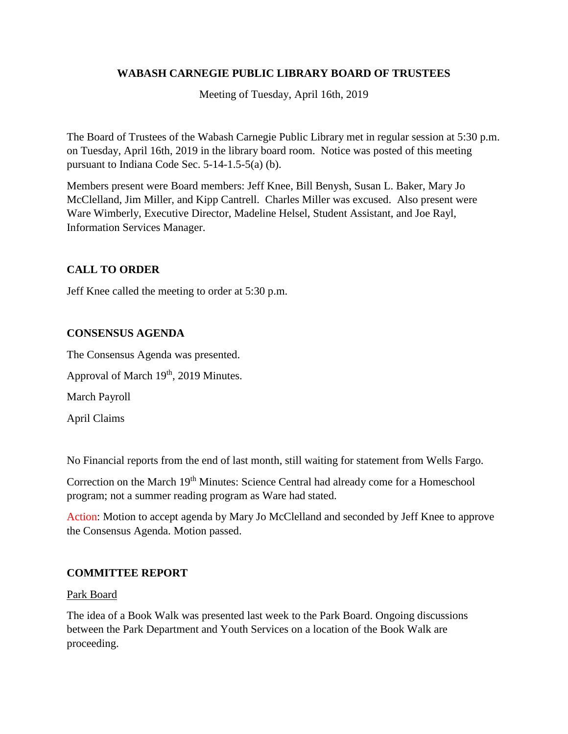# **WABASH CARNEGIE PUBLIC LIBRARY BOARD OF TRUSTEES**

Meeting of Tuesday, April 16th, 2019

The Board of Trustees of the Wabash Carnegie Public Library met in regular session at 5:30 p.m. on Tuesday, April 16th, 2019 in the library board room. Notice was posted of this meeting pursuant to Indiana Code Sec. 5-14-1.5-5(a) (b).

Members present were Board members: Jeff Knee, Bill Benysh, Susan L. Baker, Mary Jo McClelland, Jim Miller, and Kipp Cantrell. Charles Miller was excused. Also present were Ware Wimberly, Executive Director, Madeline Helsel, Student Assistant, and Joe Rayl, Information Services Manager.

# **CALL TO ORDER**

Jeff Knee called the meeting to order at 5:30 p.m.

## **CONSENSUS AGENDA**

The Consensus Agenda was presented.

Approval of March 19<sup>th</sup>, 2019 Minutes.

March Payroll

April Claims

No Financial reports from the end of last month, still waiting for statement from Wells Fargo.

Correction on the March 19<sup>th</sup> Minutes: Science Central had already come for a Homeschool program; not a summer reading program as Ware had stated.

Action: Motion to accept agenda by Mary Jo McClelland and seconded by Jeff Knee to approve the Consensus Agenda. Motion passed.

## **COMMITTEE REPORT**

#### Park Board

The idea of a Book Walk was presented last week to the Park Board. Ongoing discussions between the Park Department and Youth Services on a location of the Book Walk are proceeding.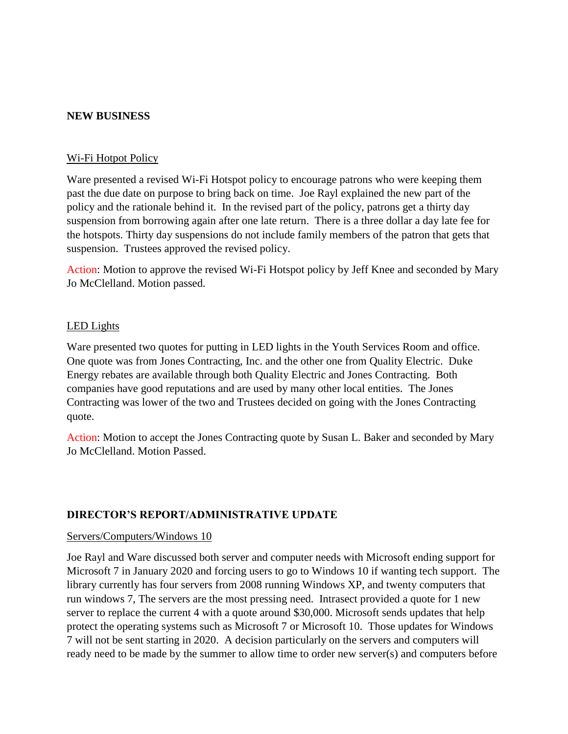#### **NEW BUSINESS**

#### Wi-Fi Hotpot Policy

Ware presented a revised Wi-Fi Hotspot policy to encourage patrons who were keeping them past the due date on purpose to bring back on time. Joe Rayl explained the new part of the policy and the rationale behind it. In the revised part of the policy, patrons get a thirty day suspension from borrowing again after one late return. There is a three dollar a day late fee for the hotspots. Thirty day suspensions do not include family members of the patron that gets that suspension. Trustees approved the revised policy.

Action: Motion to approve the revised Wi-Fi Hotspot policy by Jeff Knee and seconded by Mary Jo McClelland. Motion passed.

#### LED Lights

Ware presented two quotes for putting in LED lights in the Youth Services Room and office. One quote was from Jones Contracting, Inc. and the other one from Quality Electric. Duke Energy rebates are available through both Quality Electric and Jones Contracting. Both companies have good reputations and are used by many other local entities. The Jones Contracting was lower of the two and Trustees decided on going with the Jones Contracting quote.

Action: Motion to accept the Jones Contracting quote by Susan L. Baker and seconded by Mary Jo McClelland. Motion Passed.

#### **DIRECTOR'S REPORT/ADMINISTRATIVE UPDATE**

#### Servers/Computers/Windows 10

Joe Rayl and Ware discussed both server and computer needs with Microsoft ending support for Microsoft 7 in January 2020 and forcing users to go to Windows 10 if wanting tech support. The library currently has four servers from 2008 running Windows XP, and twenty computers that run windows 7, The servers are the most pressing need. Intrasect provided a quote for 1 new server to replace the current 4 with a quote around \$30,000. Microsoft sends updates that help protect the operating systems such as Microsoft 7 or Microsoft 10. Those updates for Windows 7 will not be sent starting in 2020. A decision particularly on the servers and computers will ready need to be made by the summer to allow time to order new server(s) and computers before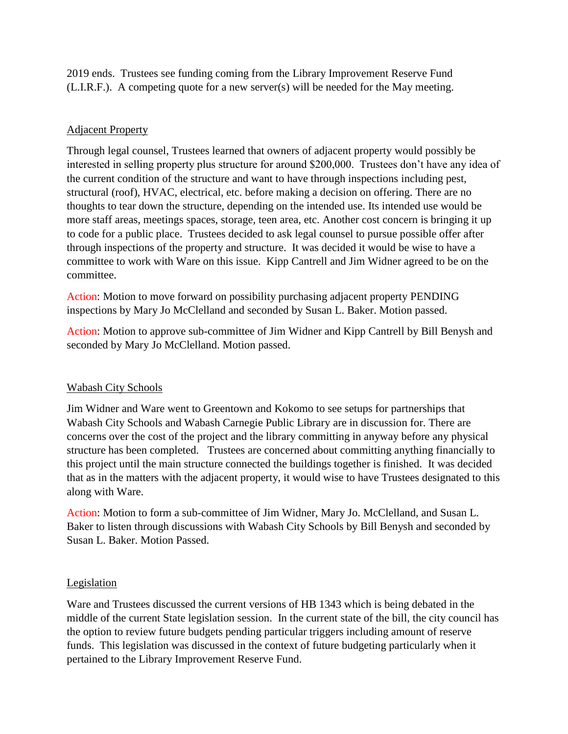2019 ends. Trustees see funding coming from the Library Improvement Reserve Fund (L.I.R.F.). A competing quote for a new server(s) will be needed for the May meeting.

# Adjacent Property

Through legal counsel, Trustees learned that owners of adjacent property would possibly be interested in selling property plus structure for around \$200,000. Trustees don't have any idea of the current condition of the structure and want to have through inspections including pest, structural (roof), HVAC, electrical, etc. before making a decision on offering. There are no thoughts to tear down the structure, depending on the intended use. Its intended use would be more staff areas, meetings spaces, storage, teen area, etc. Another cost concern is bringing it up to code for a public place. Trustees decided to ask legal counsel to pursue possible offer after through inspections of the property and structure. It was decided it would be wise to have a committee to work with Ware on this issue. Kipp Cantrell and Jim Widner agreed to be on the committee.

Action: Motion to move forward on possibility purchasing adjacent property PENDING inspections by Mary Jo McClelland and seconded by Susan L. Baker. Motion passed.

Action: Motion to approve sub-committee of Jim Widner and Kipp Cantrell by Bill Benysh and seconded by Mary Jo McClelland. Motion passed.

## Wabash City Schools

Jim Widner and Ware went to Greentown and Kokomo to see setups for partnerships that Wabash City Schools and Wabash Carnegie Public Library are in discussion for. There are concerns over the cost of the project and the library committing in anyway before any physical structure has been completed. Trustees are concerned about committing anything financially to this project until the main structure connected the buildings together is finished. It was decided that as in the matters with the adjacent property, it would wise to have Trustees designated to this along with Ware.

Action: Motion to form a sub-committee of Jim Widner, Mary Jo. McClelland, and Susan L. Baker to listen through discussions with Wabash City Schools by Bill Benysh and seconded by Susan L. Baker. Motion Passed.

## **Legislation**

Ware and Trustees discussed the current versions of HB 1343 which is being debated in the middle of the current State legislation session. In the current state of the bill, the city council has the option to review future budgets pending particular triggers including amount of reserve funds. This legislation was discussed in the context of future budgeting particularly when it pertained to the Library Improvement Reserve Fund.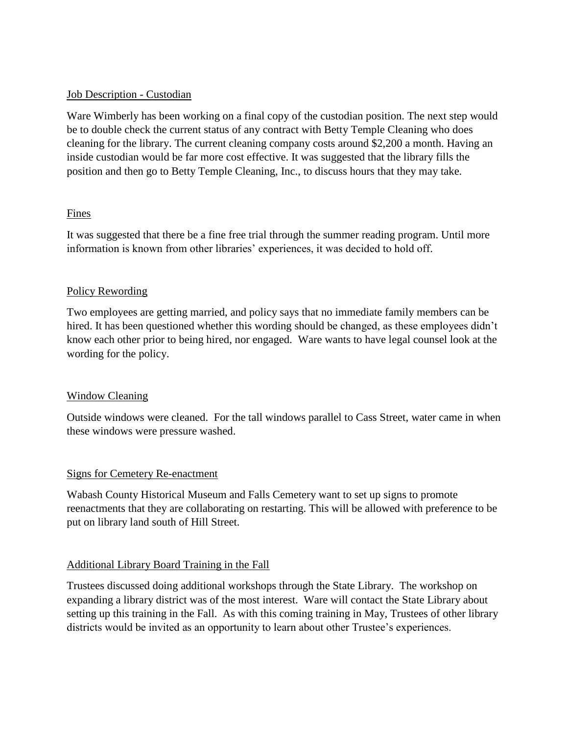### Job Description - Custodian

Ware Wimberly has been working on a final copy of the custodian position. The next step would be to double check the current status of any contract with Betty Temple Cleaning who does cleaning for the library. The current cleaning company costs around \$2,200 a month. Having an inside custodian would be far more cost effective. It was suggested that the library fills the position and then go to Betty Temple Cleaning, Inc., to discuss hours that they may take.

### Fines

It was suggested that there be a fine free trial through the summer reading program. Until more information is known from other libraries' experiences, it was decided to hold off.

### Policy Rewording

Two employees are getting married, and policy says that no immediate family members can be hired. It has been questioned whether this wording should be changed, as these employees didn't know each other prior to being hired, nor engaged. Ware wants to have legal counsel look at the wording for the policy.

#### Window Cleaning

Outside windows were cleaned. For the tall windows parallel to Cass Street, water came in when these windows were pressure washed.

## Signs for Cemetery Re-enactment

Wabash County Historical Museum and Falls Cemetery want to set up signs to promote reenactments that they are collaborating on restarting. This will be allowed with preference to be put on library land south of Hill Street.

#### Additional Library Board Training in the Fall

Trustees discussed doing additional workshops through the State Library. The workshop on expanding a library district was of the most interest. Ware will contact the State Library about setting up this training in the Fall. As with this coming training in May, Trustees of other library districts would be invited as an opportunity to learn about other Trustee's experiences.